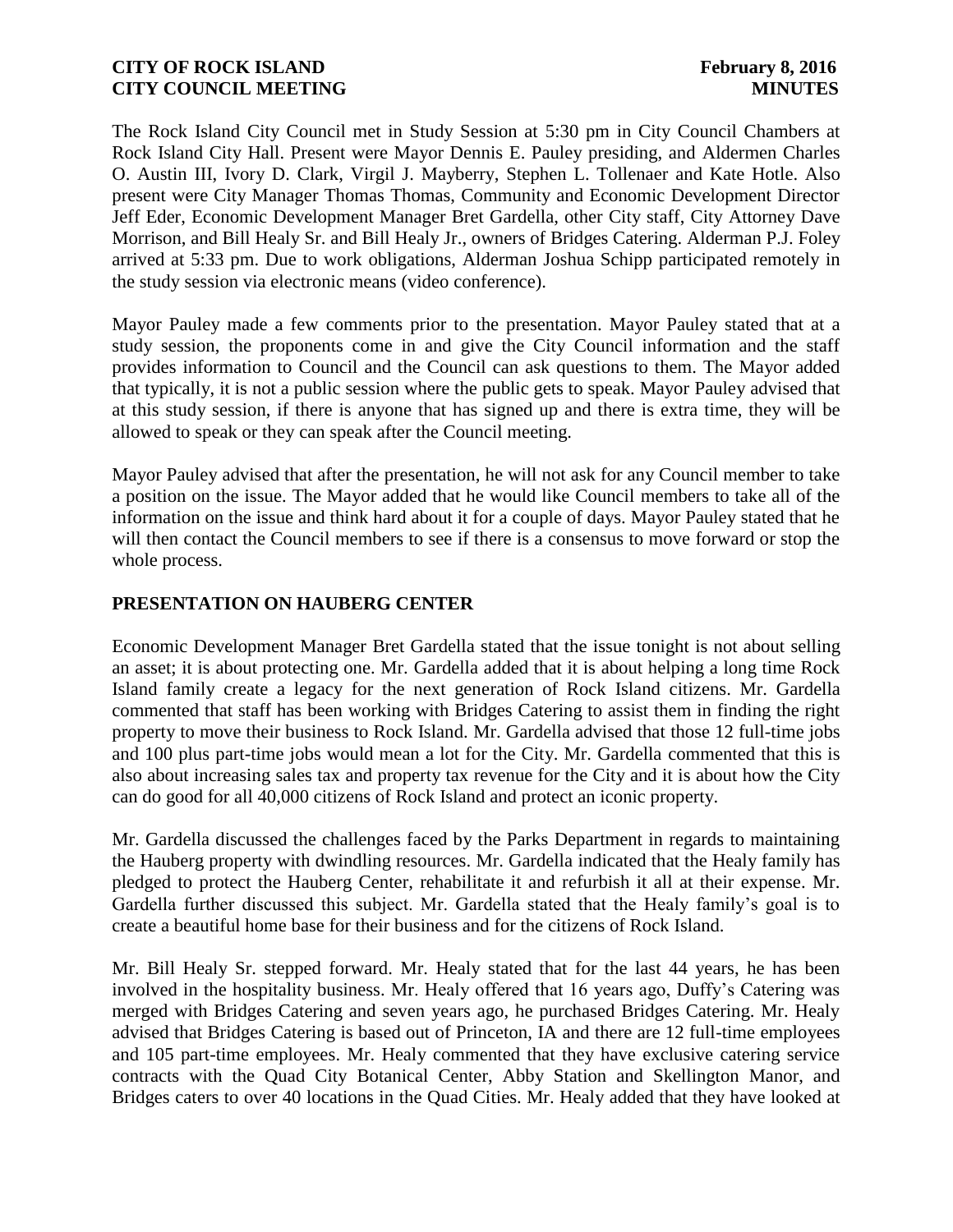The Rock Island City Council met in Study Session at 5:30 pm in City Council Chambers at Rock Island City Hall. Present were Mayor Dennis E. Pauley presiding, and Aldermen Charles O. Austin III, Ivory D. Clark, Virgil J. Mayberry, Stephen L. Tollenaer and Kate Hotle. Also present were City Manager Thomas Thomas, Community and Economic Development Director Jeff Eder, Economic Development Manager Bret Gardella, other City staff, City Attorney Dave Morrison, and Bill Healy Sr. and Bill Healy Jr., owners of Bridges Catering. Alderman P.J. Foley arrived at 5:33 pm. Due to work obligations, Alderman Joshua Schipp participated remotely in the study session via electronic means (video conference).

Mayor Pauley made a few comments prior to the presentation. Mayor Pauley stated that at a study session, the proponents come in and give the City Council information and the staff provides information to Council and the Council can ask questions to them. The Mayor added that typically, it is not a public session where the public gets to speak. Mayor Pauley advised that at this study session, if there is anyone that has signed up and there is extra time, they will be allowed to speak or they can speak after the Council meeting.

Mayor Pauley advised that after the presentation, he will not ask for any Council member to take a position on the issue. The Mayor added that he would like Council members to take all of the information on the issue and think hard about it for a couple of days. Mayor Pauley stated that he will then contact the Council members to see if there is a consensus to move forward or stop the whole process.

## **PRESENTATION ON HAUBERG CENTER**

Economic Development Manager Bret Gardella stated that the issue tonight is not about selling an asset; it is about protecting one. Mr. Gardella added that it is about helping a long time Rock Island family create a legacy for the next generation of Rock Island citizens. Mr. Gardella commented that staff has been working with Bridges Catering to assist them in finding the right property to move their business to Rock Island. Mr. Gardella advised that those 12 full-time jobs and 100 plus part-time jobs would mean a lot for the City. Mr. Gardella commented that this is also about increasing sales tax and property tax revenue for the City and it is about how the City can do good for all 40,000 citizens of Rock Island and protect an iconic property.

Mr. Gardella discussed the challenges faced by the Parks Department in regards to maintaining the Hauberg property with dwindling resources. Mr. Gardella indicated that the Healy family has pledged to protect the Hauberg Center, rehabilitate it and refurbish it all at their expense. Mr. Gardella further discussed this subject. Mr. Gardella stated that the Healy family's goal is to create a beautiful home base for their business and for the citizens of Rock Island.

Mr. Bill Healy Sr. stepped forward. Mr. Healy stated that for the last 44 years, he has been involved in the hospitality business. Mr. Healy offered that 16 years ago, Duffy's Catering was merged with Bridges Catering and seven years ago, he purchased Bridges Catering. Mr. Healy advised that Bridges Catering is based out of Princeton, IA and there are 12 full-time employees and 105 part-time employees. Mr. Healy commented that they have exclusive catering service contracts with the Quad City Botanical Center, Abby Station and Skellington Manor, and Bridges caters to over 40 locations in the Quad Cities. Mr. Healy added that they have looked at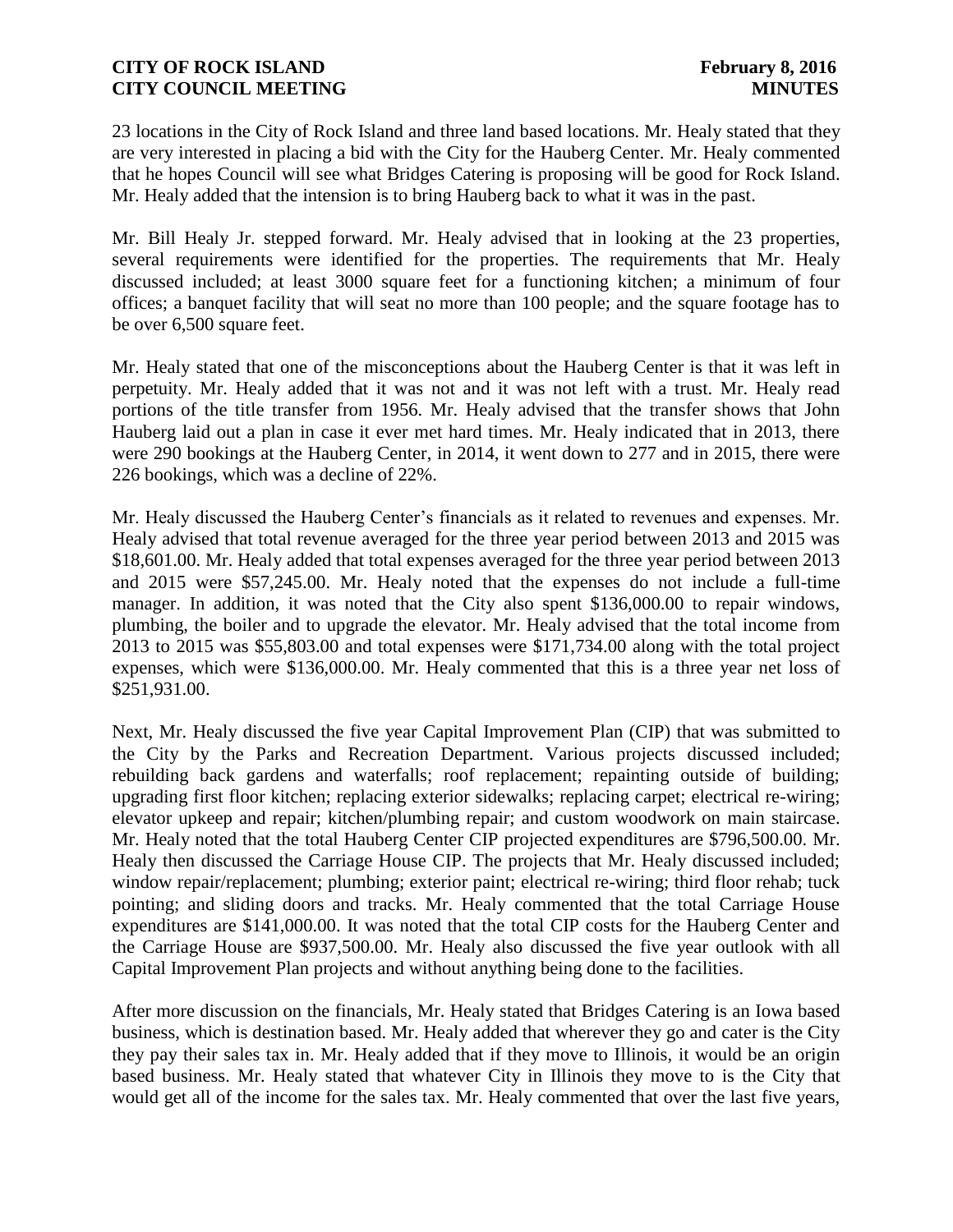23 locations in the City of Rock Island and three land based locations. Mr. Healy stated that they are very interested in placing a bid with the City for the Hauberg Center. Mr. Healy commented that he hopes Council will see what Bridges Catering is proposing will be good for Rock Island. Mr. Healy added that the intension is to bring Hauberg back to what it was in the past.

Mr. Bill Healy Jr. stepped forward. Mr. Healy advised that in looking at the 23 properties, several requirements were identified for the properties. The requirements that Mr. Healy discussed included; at least 3000 square feet for a functioning kitchen; a minimum of four offices; a banquet facility that will seat no more than 100 people; and the square footage has to be over 6,500 square feet.

Mr. Healy stated that one of the misconceptions about the Hauberg Center is that it was left in perpetuity. Mr. Healy added that it was not and it was not left with a trust. Mr. Healy read portions of the title transfer from 1956. Mr. Healy advised that the transfer shows that John Hauberg laid out a plan in case it ever met hard times. Mr. Healy indicated that in 2013, there were 290 bookings at the Hauberg Center, in 2014, it went down to 277 and in 2015, there were 226 bookings, which was a decline of 22%.

Mr. Healy discussed the Hauberg Center's financials as it related to revenues and expenses. Mr. Healy advised that total revenue averaged for the three year period between 2013 and 2015 was \$18,601.00. Mr. Healy added that total expenses averaged for the three year period between 2013 and 2015 were \$57,245.00. Mr. Healy noted that the expenses do not include a full-time manager. In addition, it was noted that the City also spent \$136,000.00 to repair windows, plumbing, the boiler and to upgrade the elevator. Mr. Healy advised that the total income from 2013 to 2015 was \$55,803.00 and total expenses were \$171,734.00 along with the total project expenses, which were \$136,000.00. Mr. Healy commented that this is a three year net loss of \$251,931.00.

Next, Mr. Healy discussed the five year Capital Improvement Plan (CIP) that was submitted to the City by the Parks and Recreation Department. Various projects discussed included; rebuilding back gardens and waterfalls; roof replacement; repainting outside of building; upgrading first floor kitchen; replacing exterior sidewalks; replacing carpet; electrical re-wiring; elevator upkeep and repair; kitchen/plumbing repair; and custom woodwork on main staircase. Mr. Healy noted that the total Hauberg Center CIP projected expenditures are \$796,500.00. Mr. Healy then discussed the Carriage House CIP. The projects that Mr. Healy discussed included; window repair/replacement; plumbing; exterior paint; electrical re-wiring; third floor rehab; tuck pointing; and sliding doors and tracks. Mr. Healy commented that the total Carriage House expenditures are \$141,000.00. It was noted that the total CIP costs for the Hauberg Center and the Carriage House are \$937,500.00. Mr. Healy also discussed the five year outlook with all Capital Improvement Plan projects and without anything being done to the facilities.

After more discussion on the financials, Mr. Healy stated that Bridges Catering is an Iowa based business, which is destination based. Mr. Healy added that wherever they go and cater is the City they pay their sales tax in. Mr. Healy added that if they move to Illinois, it would be an origin based business. Mr. Healy stated that whatever City in Illinois they move to is the City that would get all of the income for the sales tax. Mr. Healy commented that over the last five years,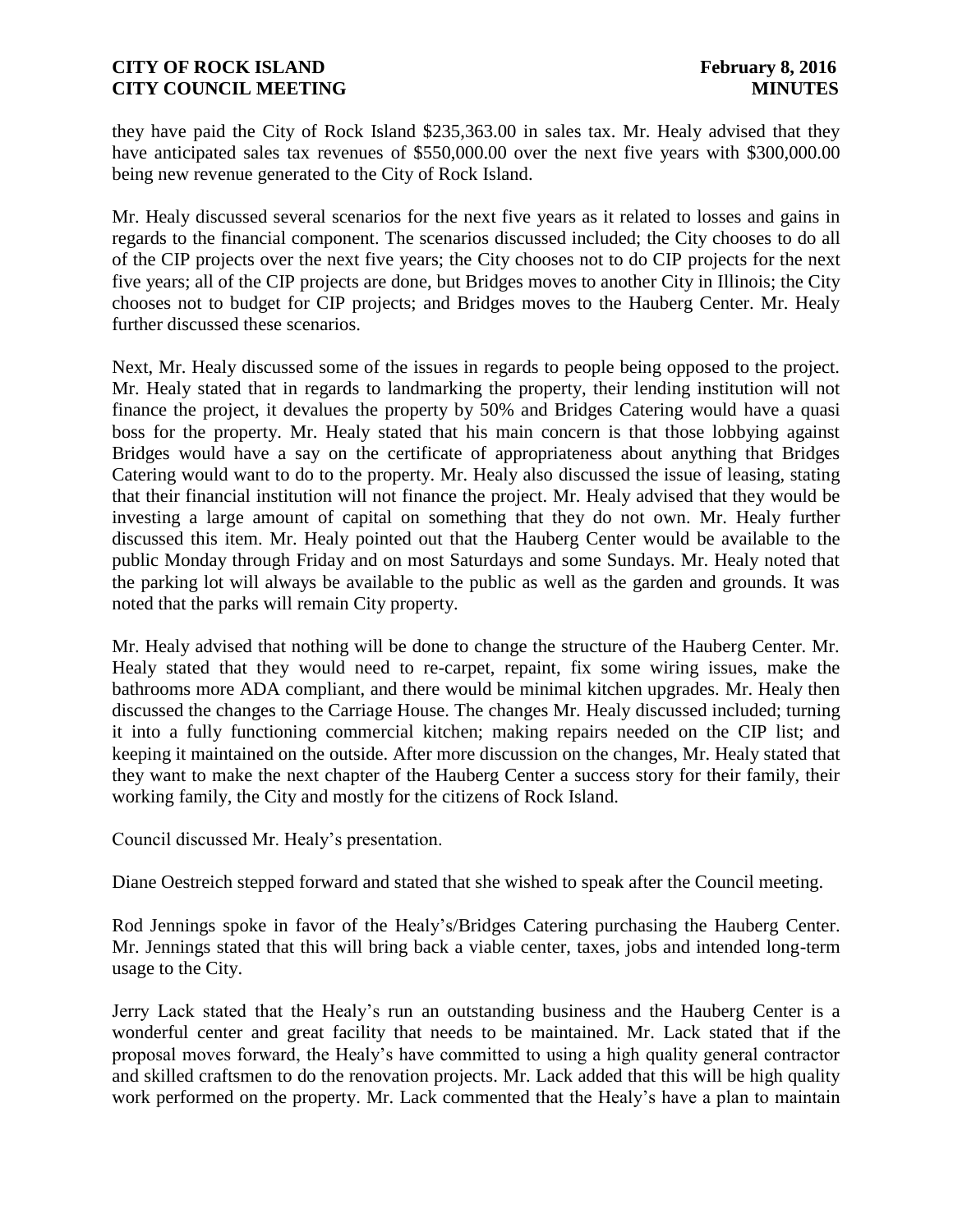they have paid the City of Rock Island \$235,363.00 in sales tax. Mr. Healy advised that they have anticipated sales tax revenues of \$550,000.00 over the next five years with \$300,000.00 being new revenue generated to the City of Rock Island.

Mr. Healy discussed several scenarios for the next five years as it related to losses and gains in regards to the financial component. The scenarios discussed included; the City chooses to do all of the CIP projects over the next five years; the City chooses not to do CIP projects for the next five years; all of the CIP projects are done, but Bridges moves to another City in Illinois; the City chooses not to budget for CIP projects; and Bridges moves to the Hauberg Center. Mr. Healy further discussed these scenarios.

Next, Mr. Healy discussed some of the issues in regards to people being opposed to the project. Mr. Healy stated that in regards to landmarking the property, their lending institution will not finance the project, it devalues the property by 50% and Bridges Catering would have a quasi boss for the property. Mr. Healy stated that his main concern is that those lobbying against Bridges would have a say on the certificate of appropriateness about anything that Bridges Catering would want to do to the property. Mr. Healy also discussed the issue of leasing, stating that their financial institution will not finance the project. Mr. Healy advised that they would be investing a large amount of capital on something that they do not own. Mr. Healy further discussed this item. Mr. Healy pointed out that the Hauberg Center would be available to the public Monday through Friday and on most Saturdays and some Sundays. Mr. Healy noted that the parking lot will always be available to the public as well as the garden and grounds. It was noted that the parks will remain City property.

Mr. Healy advised that nothing will be done to change the structure of the Hauberg Center. Mr. Healy stated that they would need to re-carpet, repaint, fix some wiring issues, make the bathrooms more ADA compliant, and there would be minimal kitchen upgrades. Mr. Healy then discussed the changes to the Carriage House. The changes Mr. Healy discussed included; turning it into a fully functioning commercial kitchen; making repairs needed on the CIP list; and keeping it maintained on the outside. After more discussion on the changes, Mr. Healy stated that they want to make the next chapter of the Hauberg Center a success story for their family, their working family, the City and mostly for the citizens of Rock Island.

Council discussed Mr. Healy's presentation.

Diane Oestreich stepped forward and stated that she wished to speak after the Council meeting.

Rod Jennings spoke in favor of the Healy's/Bridges Catering purchasing the Hauberg Center. Mr. Jennings stated that this will bring back a viable center, taxes, jobs and intended long-term usage to the City.

Jerry Lack stated that the Healy's run an outstanding business and the Hauberg Center is a wonderful center and great facility that needs to be maintained. Mr. Lack stated that if the proposal moves forward, the Healy's have committed to using a high quality general contractor and skilled craftsmen to do the renovation projects. Mr. Lack added that this will be high quality work performed on the property. Mr. Lack commented that the Healy's have a plan to maintain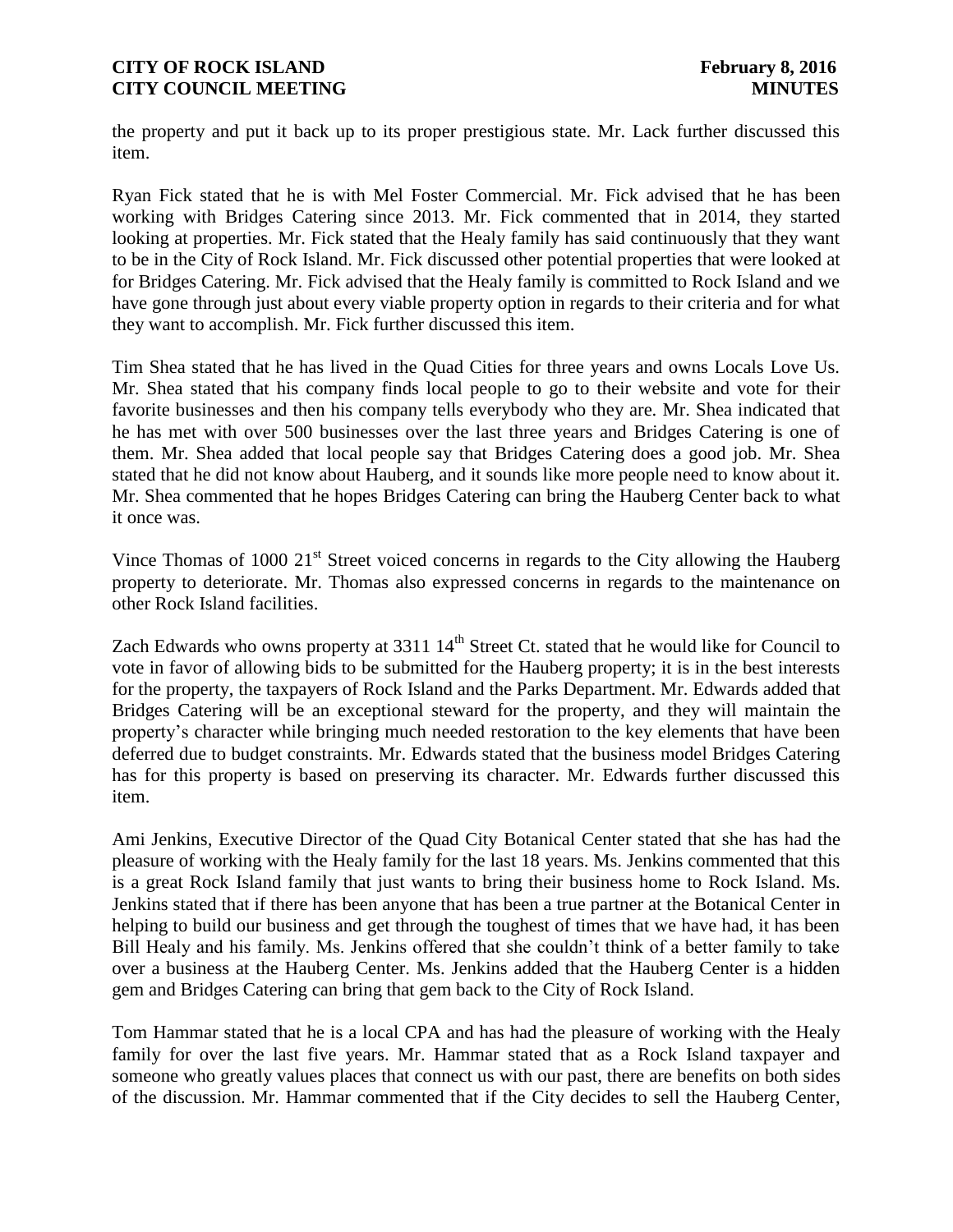the property and put it back up to its proper prestigious state. Mr. Lack further discussed this item.

Ryan Fick stated that he is with Mel Foster Commercial. Mr. Fick advised that he has been working with Bridges Catering since 2013. Mr. Fick commented that in 2014, they started looking at properties. Mr. Fick stated that the Healy family has said continuously that they want to be in the City of Rock Island. Mr. Fick discussed other potential properties that were looked at for Bridges Catering. Mr. Fick advised that the Healy family is committed to Rock Island and we have gone through just about every viable property option in regards to their criteria and for what they want to accomplish. Mr. Fick further discussed this item.

Tim Shea stated that he has lived in the Quad Cities for three years and owns Locals Love Us. Mr. Shea stated that his company finds local people to go to their website and vote for their favorite businesses and then his company tells everybody who they are. Mr. Shea indicated that he has met with over 500 businesses over the last three years and Bridges Catering is one of them. Mr. Shea added that local people say that Bridges Catering does a good job. Mr. Shea stated that he did not know about Hauberg, and it sounds like more people need to know about it. Mr. Shea commented that he hopes Bridges Catering can bring the Hauberg Center back to what it once was.

Vince Thomas of 1000  $21<sup>st</sup>$  Street voiced concerns in regards to the City allowing the Hauberg property to deteriorate. Mr. Thomas also expressed concerns in regards to the maintenance on other Rock Island facilities.

Zach Edwards who owns property at  $3311\,14^{th}$  Street Ct. stated that he would like for Council to vote in favor of allowing bids to be submitted for the Hauberg property; it is in the best interests for the property, the taxpayers of Rock Island and the Parks Department. Mr. Edwards added that Bridges Catering will be an exceptional steward for the property, and they will maintain the property's character while bringing much needed restoration to the key elements that have been deferred due to budget constraints. Mr. Edwards stated that the business model Bridges Catering has for this property is based on preserving its character. Mr. Edwards further discussed this item.

Ami Jenkins, Executive Director of the Quad City Botanical Center stated that she has had the pleasure of working with the Healy family for the last 18 years. Ms. Jenkins commented that this is a great Rock Island family that just wants to bring their business home to Rock Island. Ms. Jenkins stated that if there has been anyone that has been a true partner at the Botanical Center in helping to build our business and get through the toughest of times that we have had, it has been Bill Healy and his family. Ms. Jenkins offered that she couldn't think of a better family to take over a business at the Hauberg Center. Ms. Jenkins added that the Hauberg Center is a hidden gem and Bridges Catering can bring that gem back to the City of Rock Island.

Tom Hammar stated that he is a local CPA and has had the pleasure of working with the Healy family for over the last five years. Mr. Hammar stated that as a Rock Island taxpayer and someone who greatly values places that connect us with our past, there are benefits on both sides of the discussion. Mr. Hammar commented that if the City decides to sell the Hauberg Center,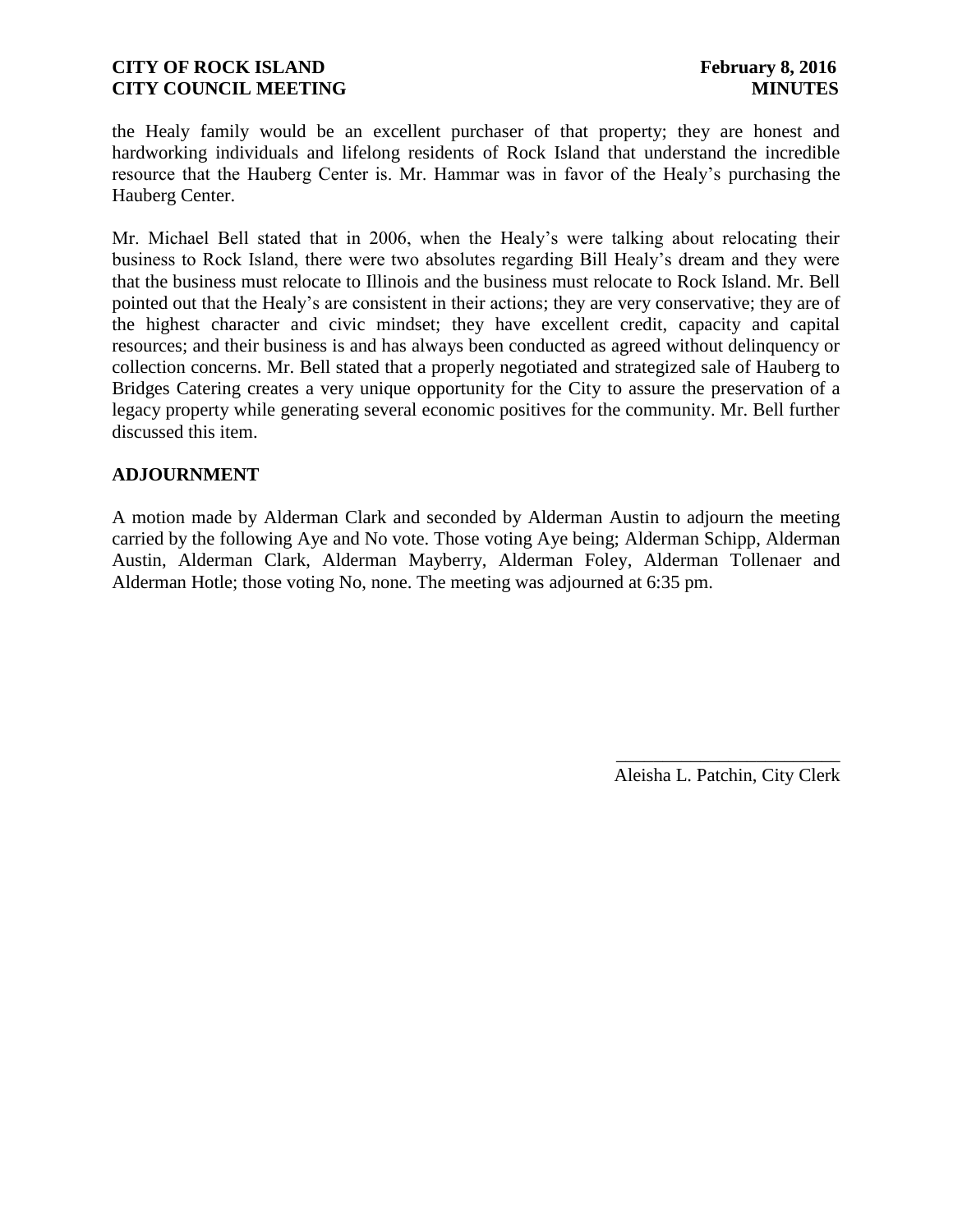the Healy family would be an excellent purchaser of that property; they are honest and hardworking individuals and lifelong residents of Rock Island that understand the incredible resource that the Hauberg Center is. Mr. Hammar was in favor of the Healy's purchasing the Hauberg Center.

Mr. Michael Bell stated that in 2006, when the Healy's were talking about relocating their business to Rock Island, there were two absolutes regarding Bill Healy's dream and they were that the business must relocate to Illinois and the business must relocate to Rock Island. Mr. Bell pointed out that the Healy's are consistent in their actions; they are very conservative; they are of the highest character and civic mindset; they have excellent credit, capacity and capital resources; and their business is and has always been conducted as agreed without delinquency or collection concerns. Mr. Bell stated that a properly negotiated and strategized sale of Hauberg to Bridges Catering creates a very unique opportunity for the City to assure the preservation of a legacy property while generating several economic positives for the community. Mr. Bell further discussed this item.

#### **ADJOURNMENT**

A motion made by Alderman Clark and seconded by Alderman Austin to adjourn the meeting carried by the following Aye and No vote. Those voting Aye being; Alderman Schipp, Alderman Austin, Alderman Clark, Alderman Mayberry, Alderman Foley, Alderman Tollenaer and Alderman Hotle; those voting No, none. The meeting was adjourned at 6:35 pm.

> \_\_\_\_\_\_\_\_\_\_\_\_\_\_\_\_\_\_\_\_\_\_\_\_ Aleisha L. Patchin, City Clerk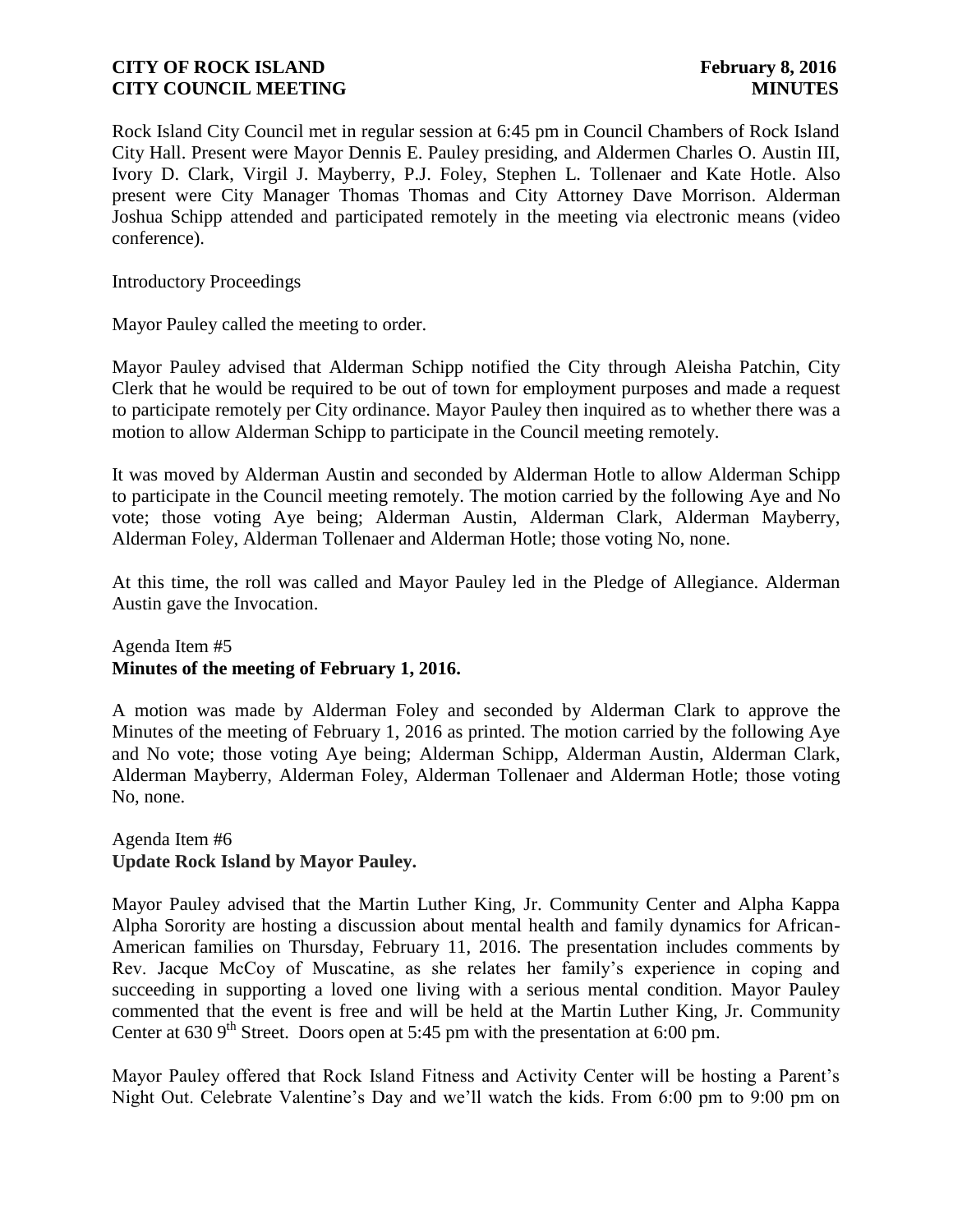Rock Island City Council met in regular session at 6:45 pm in Council Chambers of Rock Island City Hall. Present were Mayor Dennis E. Pauley presiding, and Aldermen Charles O. Austin III, Ivory D. Clark, Virgil J. Mayberry, P.J. Foley, Stephen L. Tollenaer and Kate Hotle. Also present were City Manager Thomas Thomas and City Attorney Dave Morrison. Alderman Joshua Schipp attended and participated remotely in the meeting via electronic means (video conference).

Introductory Proceedings

Mayor Pauley called the meeting to order.

Mayor Pauley advised that Alderman Schipp notified the City through Aleisha Patchin, City Clerk that he would be required to be out of town for employment purposes and made a request to participate remotely per City ordinance. Mayor Pauley then inquired as to whether there was a motion to allow Alderman Schipp to participate in the Council meeting remotely.

It was moved by Alderman Austin and seconded by Alderman Hotle to allow Alderman Schipp to participate in the Council meeting remotely. The motion carried by the following Aye and No vote; those voting Aye being; Alderman Austin, Alderman Clark, Alderman Mayberry, Alderman Foley, Alderman Tollenaer and Alderman Hotle; those voting No, none.

At this time, the roll was called and Mayor Pauley led in the Pledge of Allegiance. Alderman Austin gave the Invocation.

## Agenda Item #5 **Minutes of the meeting of February 1, 2016.**

A motion was made by Alderman Foley and seconded by Alderman Clark to approve the Minutes of the meeting of February 1, 2016 as printed. The motion carried by the following Aye and No vote; those voting Aye being; Alderman Schipp, Alderman Austin, Alderman Clark, Alderman Mayberry, Alderman Foley, Alderman Tollenaer and Alderman Hotle; those voting No, none.

## Agenda Item #6 **Update Rock Island by Mayor Pauley.**

Mayor Pauley advised that the Martin Luther King, Jr. Community Center and Alpha Kappa Alpha Sorority are hosting a discussion about mental health and family dynamics for African-American families on Thursday, February 11, 2016. The presentation includes comments by Rev. Jacque McCoy of Muscatine, as she relates her family's experience in coping and succeeding in supporting a loved one living with a serious mental condition. Mayor Pauley commented that the event is free and will be held at the Martin Luther King, Jr. Community Center at  $6309^{\text{th}}$  Street. Doors open at 5:45 pm with the presentation at  $6:00$  pm.

Mayor Pauley offered that Rock Island Fitness and Activity Center will be hosting a Parent's Night Out. Celebrate Valentine's Day and we'll watch the kids. From 6:00 pm to 9:00 pm on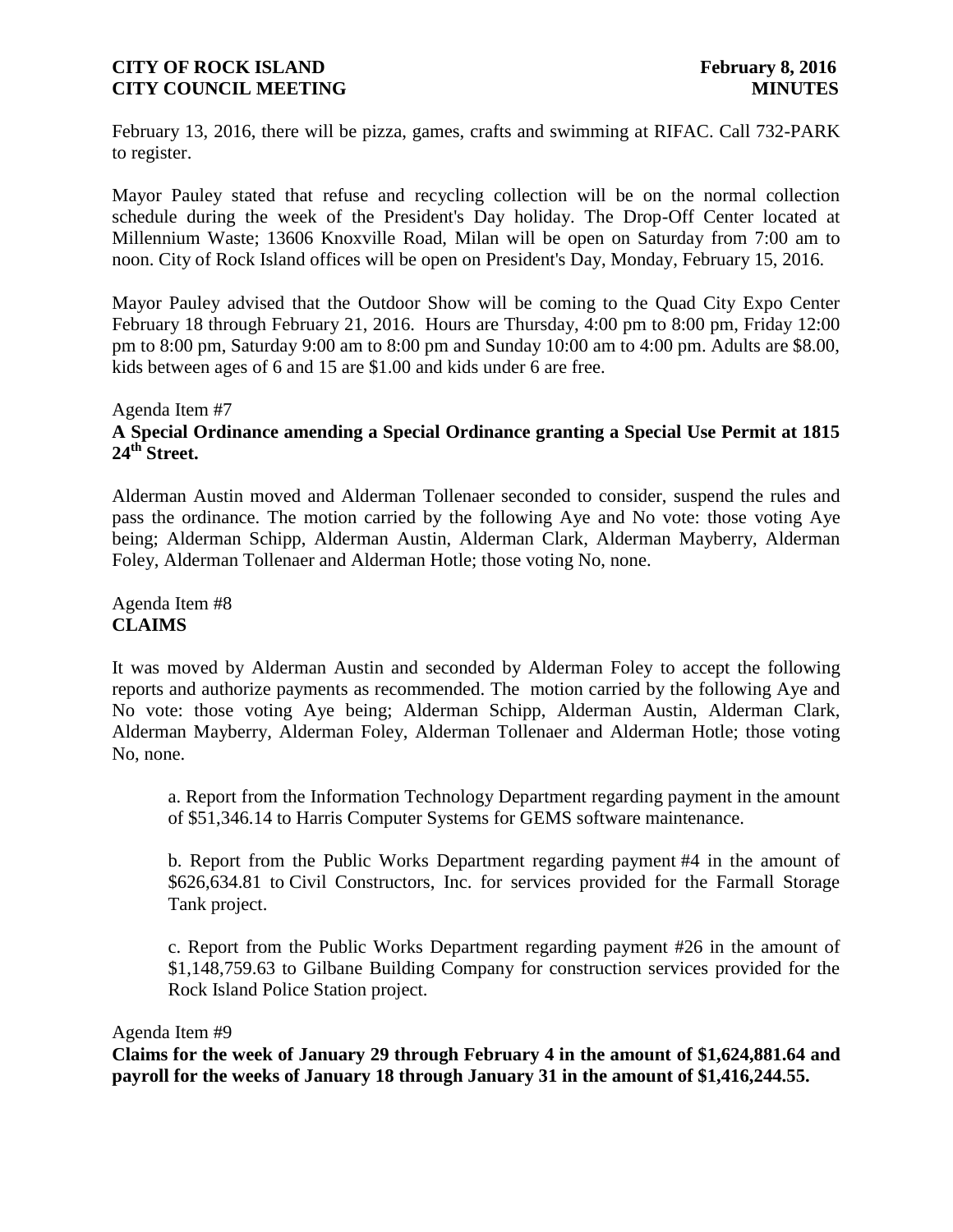February 13, 2016, there will be pizza, games, crafts and swimming at RIFAC. Call 732-PARK to register.

Mayor Pauley stated that refuse and recycling collection will be on the normal collection schedule during the week of the President's Day holiday. The Drop-Off Center located at Millennium Waste; 13606 Knoxville Road, Milan will be open on Saturday from 7:00 am to noon. City of Rock Island offices will be open on President's Day, Monday, February 15, 2016.

Mayor Pauley advised that the Outdoor Show will be coming to the Quad City Expo Center February 18 through February 21, 2016. Hours are Thursday, 4:00 pm to 8:00 pm, Friday 12:00 pm to 8:00 pm, Saturday 9:00 am to 8:00 pm and Sunday 10:00 am to 4:00 pm. Adults are \$8.00, kids between ages of 6 and 15 are \$1.00 and kids under 6 are free.

## Agenda Item #7 **A Special Ordinance amending a Special Ordinance granting a Special Use Permit at 1815 24th Street.**

Alderman Austin moved and Alderman Tollenaer seconded to consider, suspend the rules and pass the ordinance. The motion carried by the following Aye and No vote: those voting Aye being; Alderman Schipp, Alderman Austin, Alderman Clark, Alderman Mayberry, Alderman Foley, Alderman Tollenaer and Alderman Hotle; those voting No, none.

Agenda Item #8 **CLAIMS**

It was moved by Alderman Austin and seconded by Alderman Foley to accept the following reports and authorize payments as recommended. The motion carried by the following Aye and No vote: those voting Aye being; Alderman Schipp, Alderman Austin, Alderman Clark, Alderman Mayberry, Alderman Foley, Alderman Tollenaer and Alderman Hotle; those voting No, none.

a. Report from the Information Technology Department regarding payment in the amount of \$51,346.14 to Harris Computer Systems for GEMS software maintenance.

b. Report from the Public Works Department regarding payment #4 in the amount of \$626,634.81 to Civil Constructors, Inc. for services provided for the Farmall Storage Tank project.

c. Report from the Public Works Department regarding payment #26 in the amount of \$1,148,759.63 to Gilbane Building Company for construction services provided for the Rock Island Police Station project.

#### Agenda Item #9

**Claims for the week of January 29 through February 4 in the amount of \$1,624,881.64 and payroll for the weeks of January 18 through January 31 in the amount of \$1,416,244.55.**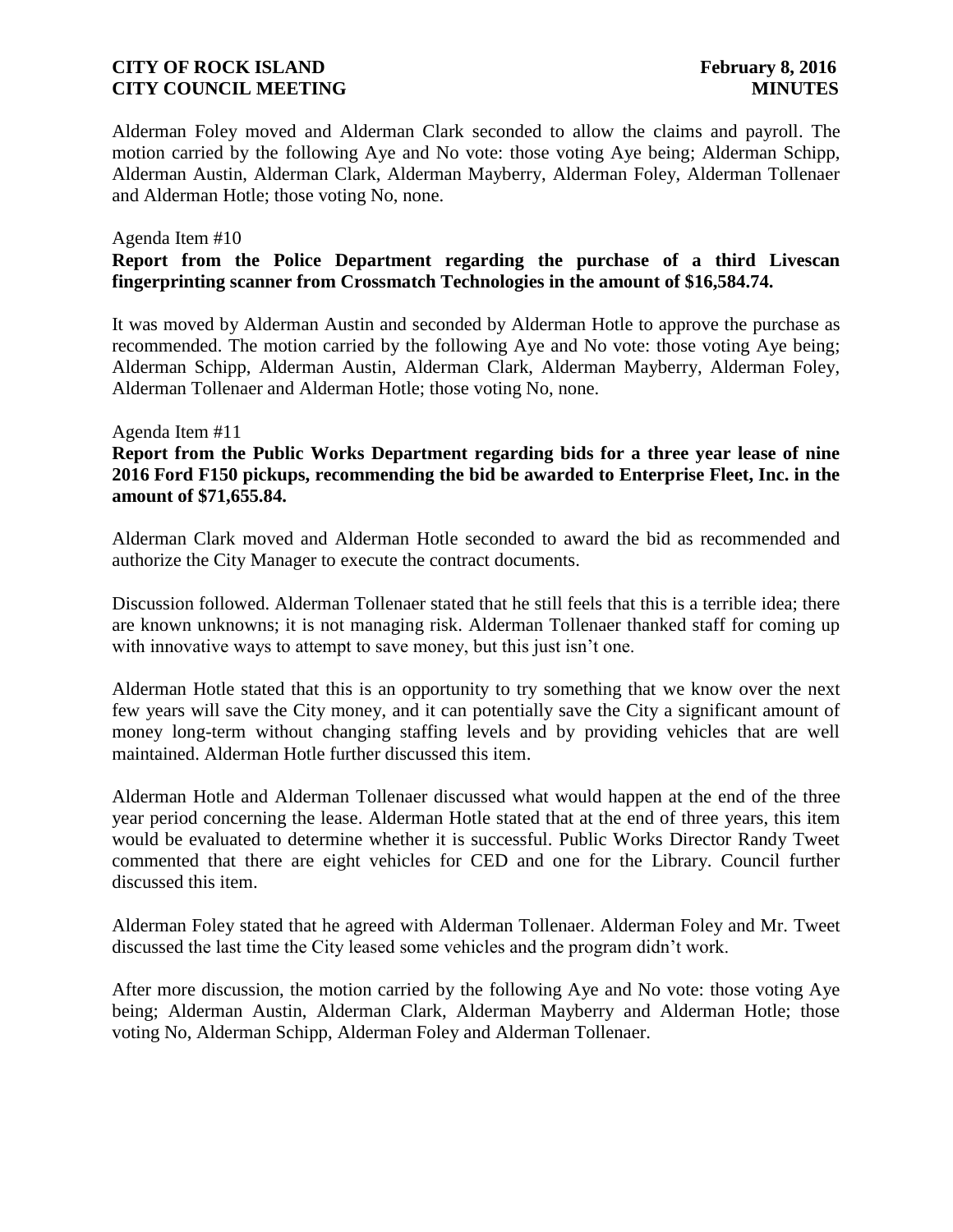Alderman Foley moved and Alderman Clark seconded to allow the claims and payroll. The motion carried by the following Aye and No vote: those voting Aye being; Alderman Schipp, Alderman Austin, Alderman Clark, Alderman Mayberry, Alderman Foley, Alderman Tollenaer and Alderman Hotle; those voting No, none.

#### Agenda Item #10

## **Report from the Police Department regarding the purchase of a third Livescan fingerprinting scanner from Crossmatch Technologies in the amount of \$16,584.74.**

It was moved by Alderman Austin and seconded by Alderman Hotle to approve the purchase as recommended. The motion carried by the following Aye and No vote: those voting Aye being; Alderman Schipp, Alderman Austin, Alderman Clark, Alderman Mayberry, Alderman Foley, Alderman Tollenaer and Alderman Hotle; those voting No, none.

#### Agenda Item #11

## **Report from the Public Works Department regarding bids for a three year lease of nine 2016 Ford F150 pickups, recommending the bid be awarded to Enterprise Fleet, Inc. in the amount of \$71,655.84.**

Alderman Clark moved and Alderman Hotle seconded to award the bid as recommended and authorize the City Manager to execute the contract documents.

Discussion followed. Alderman Tollenaer stated that he still feels that this is a terrible idea; there are known unknowns; it is not managing risk. Alderman Tollenaer thanked staff for coming up with innovative ways to attempt to save money, but this just isn't one.

Alderman Hotle stated that this is an opportunity to try something that we know over the next few years will save the City money, and it can potentially save the City a significant amount of money long-term without changing staffing levels and by providing vehicles that are well maintained. Alderman Hotle further discussed this item.

Alderman Hotle and Alderman Tollenaer discussed what would happen at the end of the three year period concerning the lease. Alderman Hotle stated that at the end of three years, this item would be evaluated to determine whether it is successful. Public Works Director Randy Tweet commented that there are eight vehicles for CED and one for the Library. Council further discussed this item.

Alderman Foley stated that he agreed with Alderman Tollenaer. Alderman Foley and Mr. Tweet discussed the last time the City leased some vehicles and the program didn't work.

After more discussion, the motion carried by the following Aye and No vote: those voting Aye being; Alderman Austin, Alderman Clark, Alderman Mayberry and Alderman Hotle; those voting No, Alderman Schipp, Alderman Foley and Alderman Tollenaer.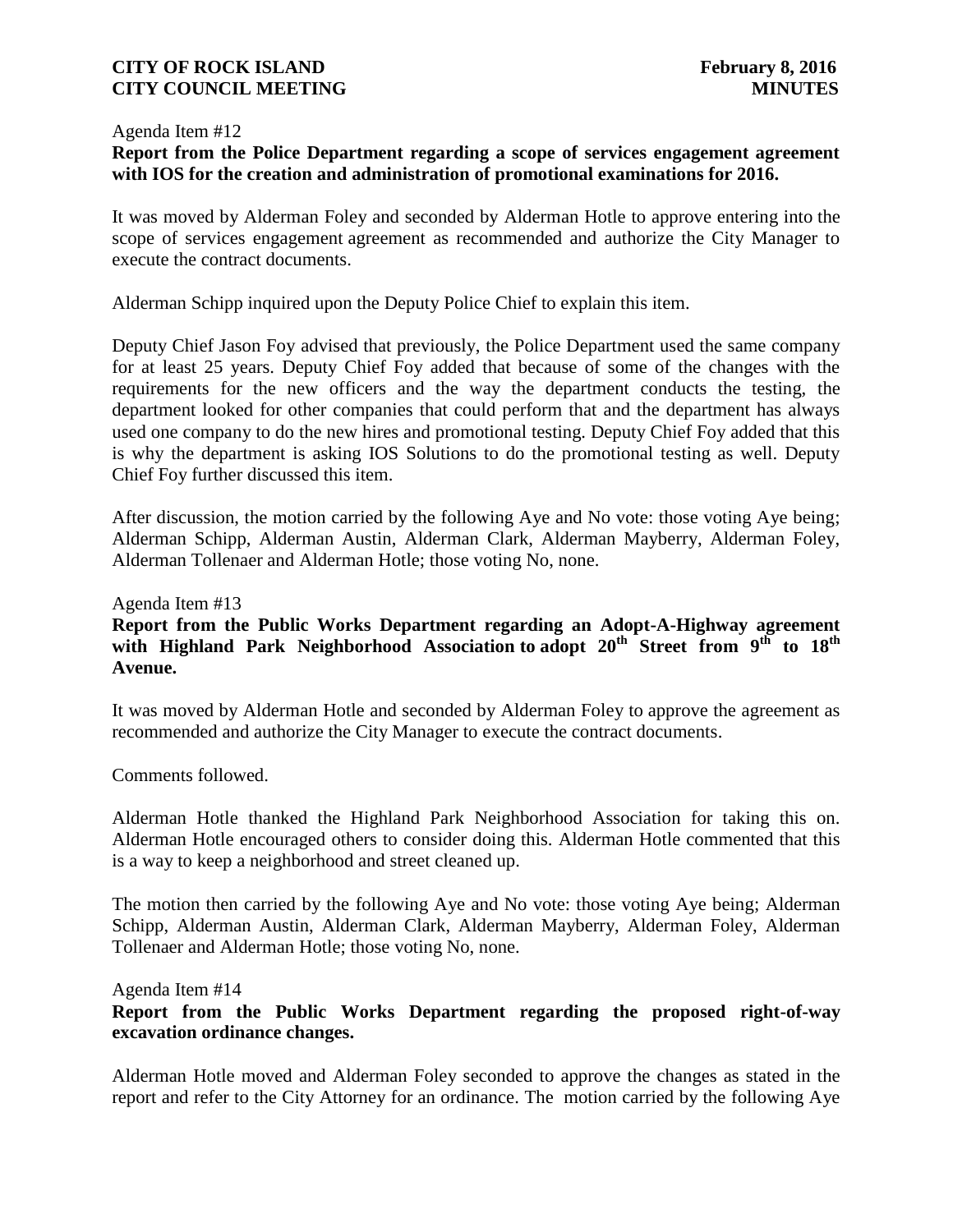#### Agenda Item #12

# **Report from the Police Department regarding a scope of services engagement agreement with IOS for the creation and administration of promotional examinations for 2016.**

It was moved by Alderman Foley and seconded by Alderman Hotle to approve entering into the scope of services engagement agreement as recommended and authorize the City Manager to execute the contract documents.

Alderman Schipp inquired upon the Deputy Police Chief to explain this item.

Deputy Chief Jason Foy advised that previously, the Police Department used the same company for at least 25 years. Deputy Chief Foy added that because of some of the changes with the requirements for the new officers and the way the department conducts the testing, the department looked for other companies that could perform that and the department has always used one company to do the new hires and promotional testing. Deputy Chief Foy added that this is why the department is asking IOS Solutions to do the promotional testing as well. Deputy Chief Foy further discussed this item.

After discussion, the motion carried by the following Aye and No vote: those voting Aye being; Alderman Schipp, Alderman Austin, Alderman Clark, Alderman Mayberry, Alderman Foley, Alderman Tollenaer and Alderman Hotle; those voting No, none.

#### Agenda Item #13

# **Report from the Public Works Department regarding an Adopt-A-Highway agreement**  with Highland Park Neighborhood Association to adopt  $20^{th}$  Street from 9<sup>th</sup> to 18<sup>th</sup> **Avenue.**

It was moved by Alderman Hotle and seconded by Alderman Foley to approve the agreement as recommended and authorize the City Manager to execute the contract documents.

Comments followed.

Alderman Hotle thanked the Highland Park Neighborhood Association for taking this on. Alderman Hotle encouraged others to consider doing this. Alderman Hotle commented that this is a way to keep a neighborhood and street cleaned up.

The motion then carried by the following Aye and No vote: those voting Aye being; Alderman Schipp, Alderman Austin, Alderman Clark, Alderman Mayberry, Alderman Foley, Alderman Tollenaer and Alderman Hotle; those voting No, none.

Agenda Item #14

# **Report from the Public Works Department regarding the proposed right-of-way excavation ordinance changes.**

Alderman Hotle moved and Alderman Foley seconded to approve the changes as stated in the report and refer to the City Attorney for an ordinance. The motion carried by the following Aye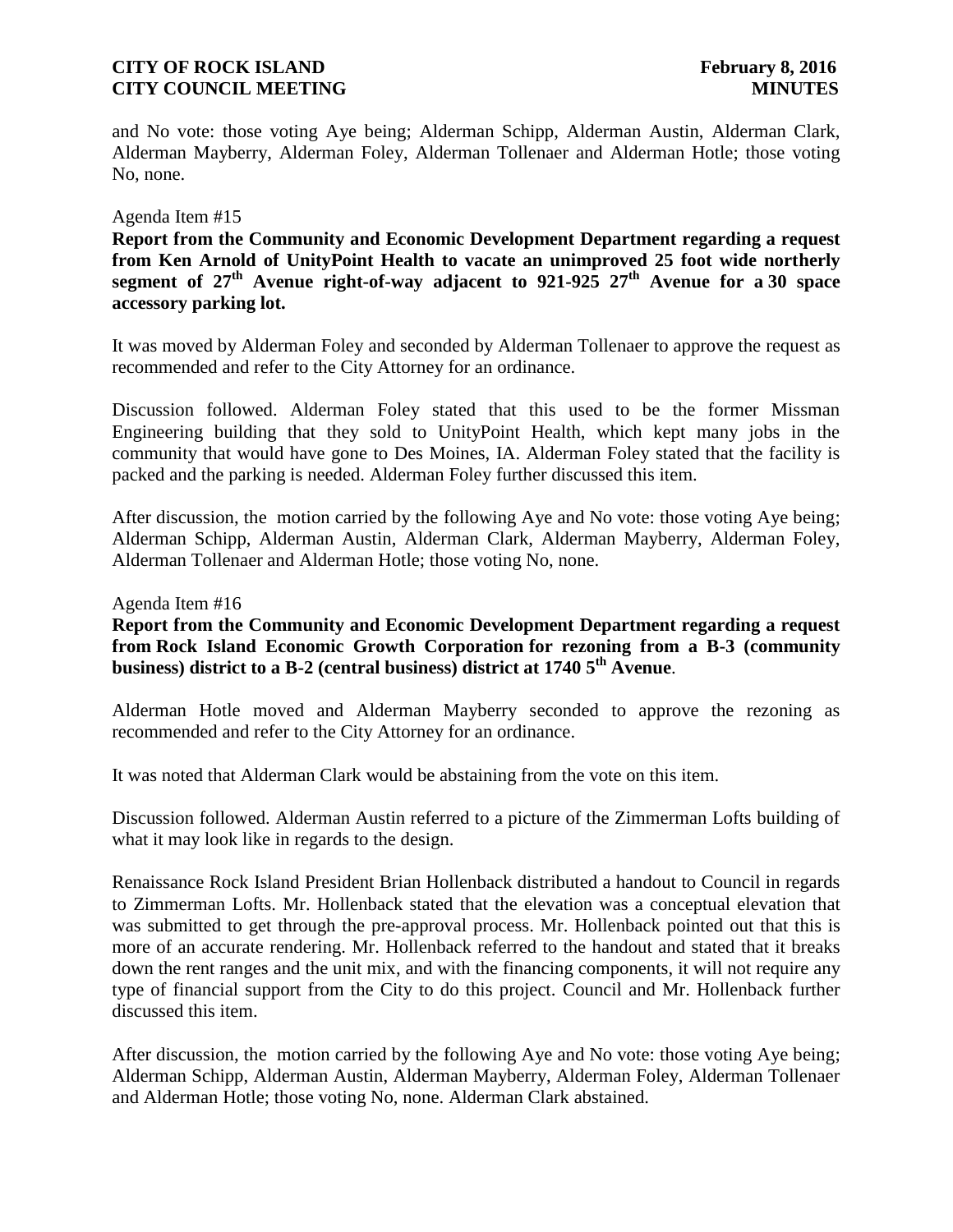and No vote: those voting Aye being; Alderman Schipp, Alderman Austin, Alderman Clark, Alderman Mayberry, Alderman Foley, Alderman Tollenaer and Alderman Hotle; those voting No, none.

#### Agenda Item #15

**Report from the Community and Economic Development Department regarding a request from Ken Arnold of UnityPoint Health to vacate an unimproved 25 foot wide northerly segment of 27th Avenue right-of-way adjacent to 921-925 27th Avenue for a 30 space accessory parking lot.**

It was moved by Alderman Foley and seconded by Alderman Tollenaer to approve the request as recommended and refer to the City Attorney for an ordinance.

Discussion followed. Alderman Foley stated that this used to be the former Missman Engineering building that they sold to UnityPoint Health, which kept many jobs in the community that would have gone to Des Moines, IA. Alderman Foley stated that the facility is packed and the parking is needed. Alderman Foley further discussed this item.

After discussion, the motion carried by the following Aye and No vote: those voting Aye being; Alderman Schipp, Alderman Austin, Alderman Clark, Alderman Mayberry, Alderman Foley, Alderman Tollenaer and Alderman Hotle; those voting No, none.

Agenda Item #16

**Report from the Community and Economic Development Department regarding a request from Rock Island Economic Growth Corporation for rezoning from a B-3 (community business) district to a B-2 (central business) district at 1740 5th Avenue**.

Alderman Hotle moved and Alderman Mayberry seconded to approve the rezoning as recommended and refer to the City Attorney for an ordinance.

It was noted that Alderman Clark would be abstaining from the vote on this item.

Discussion followed. Alderman Austin referred to a picture of the Zimmerman Lofts building of what it may look like in regards to the design.

Renaissance Rock Island President Brian Hollenback distributed a handout to Council in regards to Zimmerman Lofts. Mr. Hollenback stated that the elevation was a conceptual elevation that was submitted to get through the pre-approval process. Mr. Hollenback pointed out that this is more of an accurate rendering. Mr. Hollenback referred to the handout and stated that it breaks down the rent ranges and the unit mix, and with the financing components, it will not require any type of financial support from the City to do this project. Council and Mr. Hollenback further discussed this item.

After discussion, the motion carried by the following Aye and No vote: those voting Aye being; Alderman Schipp, Alderman Austin, Alderman Mayberry, Alderman Foley, Alderman Tollenaer and Alderman Hotle; those voting No, none. Alderman Clark abstained.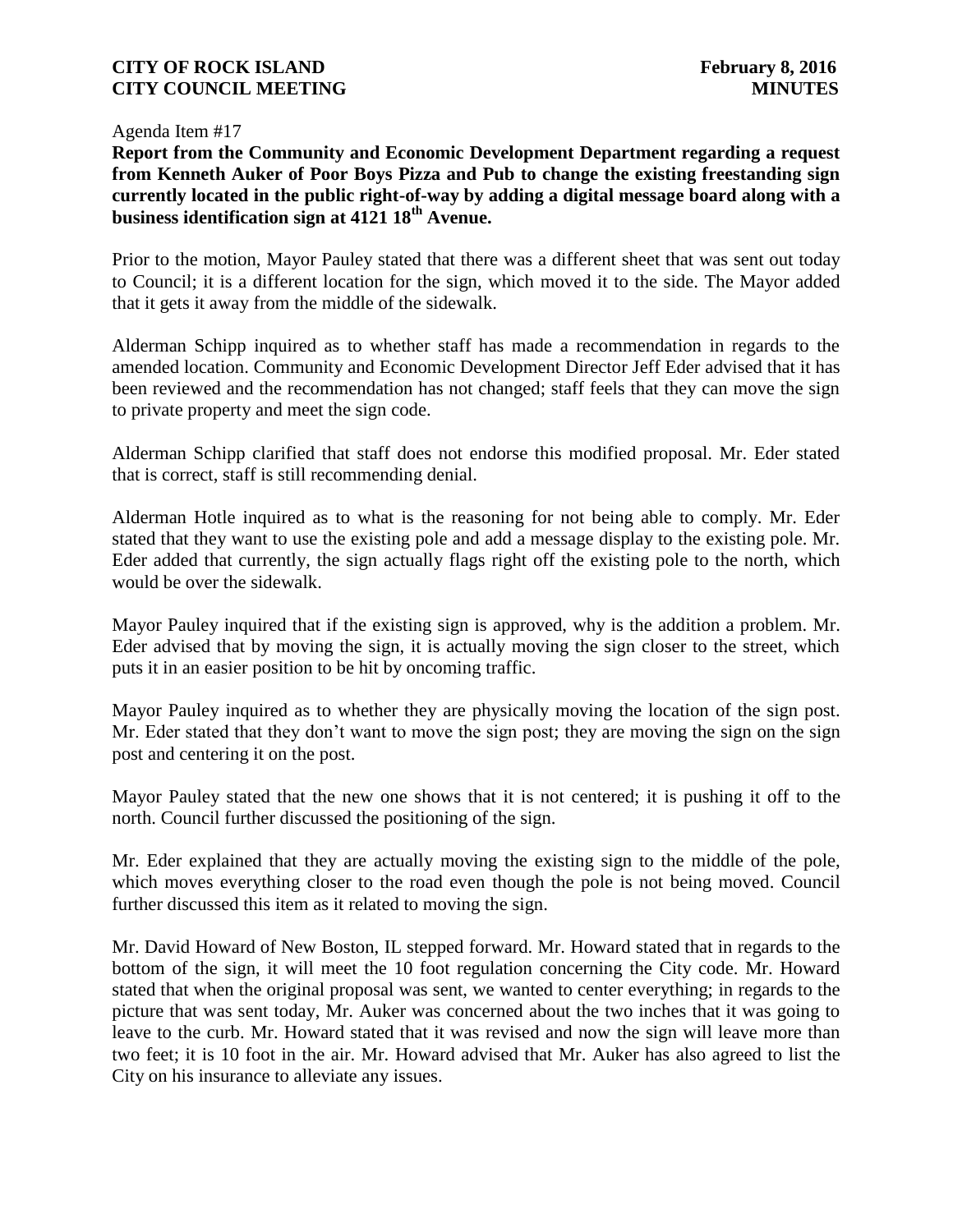Agenda Item #17

**Report from the Community and Economic Development Department regarding a request from Kenneth Auker of Poor Boys Pizza and Pub to change the existing freestanding sign currently located in the public right-of-way by adding a digital message board along with a business identification sign at 4121 18th Avenue.**

Prior to the motion, Mayor Pauley stated that there was a different sheet that was sent out today to Council; it is a different location for the sign, which moved it to the side. The Mayor added that it gets it away from the middle of the sidewalk.

Alderman Schipp inquired as to whether staff has made a recommendation in regards to the amended location. Community and Economic Development Director Jeff Eder advised that it has been reviewed and the recommendation has not changed; staff feels that they can move the sign to private property and meet the sign code.

Alderman Schipp clarified that staff does not endorse this modified proposal. Mr. Eder stated that is correct, staff is still recommending denial.

Alderman Hotle inquired as to what is the reasoning for not being able to comply. Mr. Eder stated that they want to use the existing pole and add a message display to the existing pole. Mr. Eder added that currently, the sign actually flags right off the existing pole to the north, which would be over the sidewalk.

Mayor Pauley inquired that if the existing sign is approved, why is the addition a problem. Mr. Eder advised that by moving the sign, it is actually moving the sign closer to the street, which puts it in an easier position to be hit by oncoming traffic.

Mayor Pauley inquired as to whether they are physically moving the location of the sign post. Mr. Eder stated that they don't want to move the sign post; they are moving the sign on the sign post and centering it on the post.

Mayor Pauley stated that the new one shows that it is not centered; it is pushing it off to the north. Council further discussed the positioning of the sign.

Mr. Eder explained that they are actually moving the existing sign to the middle of the pole, which moves everything closer to the road even though the pole is not being moved. Council further discussed this item as it related to moving the sign.

Mr. David Howard of New Boston, IL stepped forward. Mr. Howard stated that in regards to the bottom of the sign, it will meet the 10 foot regulation concerning the City code. Mr. Howard stated that when the original proposal was sent, we wanted to center everything; in regards to the picture that was sent today, Mr. Auker was concerned about the two inches that it was going to leave to the curb. Mr. Howard stated that it was revised and now the sign will leave more than two feet; it is 10 foot in the air. Mr. Howard advised that Mr. Auker has also agreed to list the City on his insurance to alleviate any issues.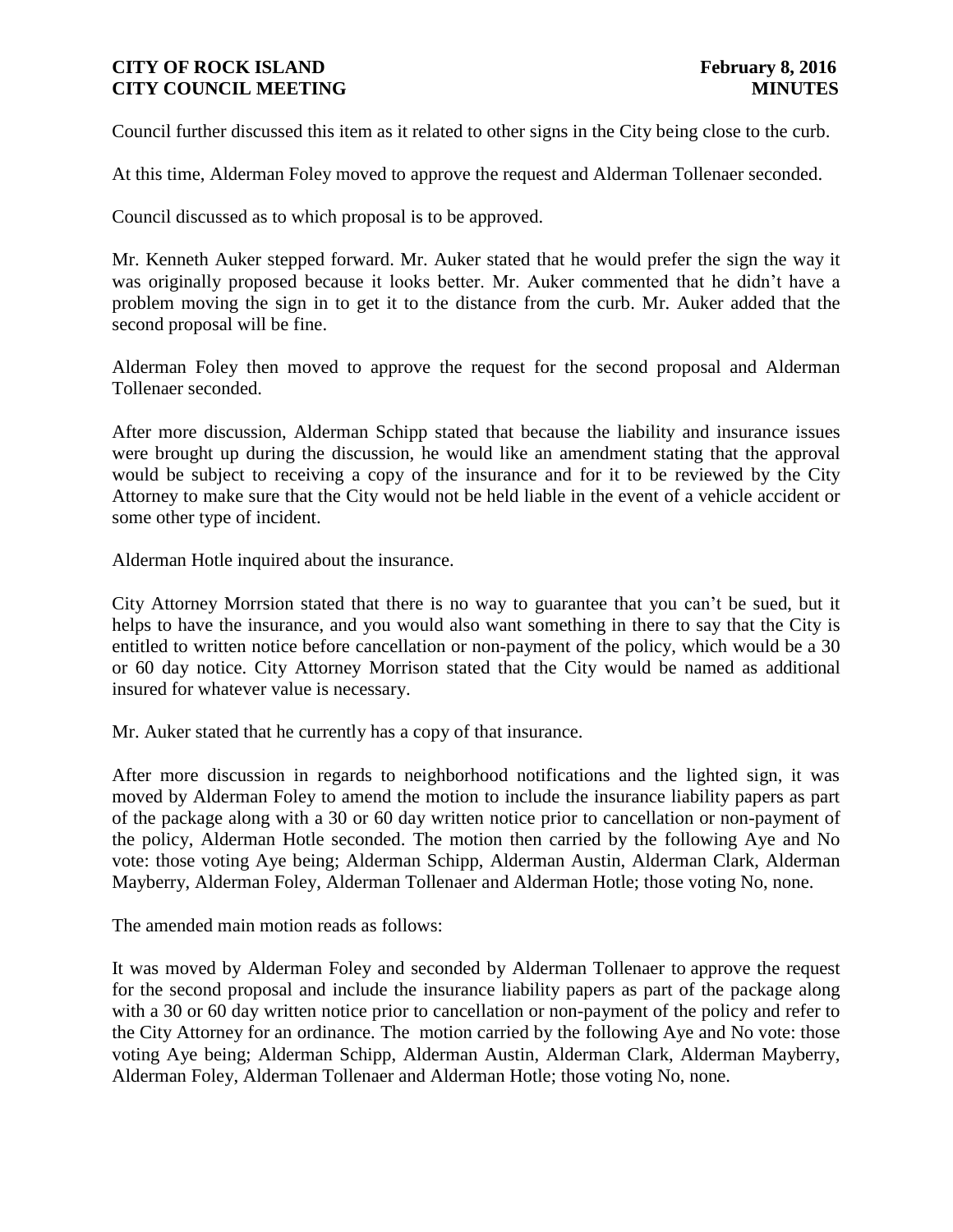Council further discussed this item as it related to other signs in the City being close to the curb.

At this time, Alderman Foley moved to approve the request and Alderman Tollenaer seconded.

Council discussed as to which proposal is to be approved.

Mr. Kenneth Auker stepped forward. Mr. Auker stated that he would prefer the sign the way it was originally proposed because it looks better. Mr. Auker commented that he didn't have a problem moving the sign in to get it to the distance from the curb. Mr. Auker added that the second proposal will be fine.

Alderman Foley then moved to approve the request for the second proposal and Alderman Tollenaer seconded.

After more discussion, Alderman Schipp stated that because the liability and insurance issues were brought up during the discussion, he would like an amendment stating that the approval would be subject to receiving a copy of the insurance and for it to be reviewed by the City Attorney to make sure that the City would not be held liable in the event of a vehicle accident or some other type of incident.

Alderman Hotle inquired about the insurance.

City Attorney Morrsion stated that there is no way to guarantee that you can't be sued, but it helps to have the insurance, and you would also want something in there to say that the City is entitled to written notice before cancellation or non-payment of the policy, which would be a 30 or 60 day notice. City Attorney Morrison stated that the City would be named as additional insured for whatever value is necessary.

Mr. Auker stated that he currently has a copy of that insurance.

After more discussion in regards to neighborhood notifications and the lighted sign, it was moved by Alderman Foley to amend the motion to include the insurance liability papers as part of the package along with a 30 or 60 day written notice prior to cancellation or non-payment of the policy, Alderman Hotle seconded. The motion then carried by the following Aye and No vote: those voting Aye being; Alderman Schipp, Alderman Austin, Alderman Clark, Alderman Mayberry, Alderman Foley, Alderman Tollenaer and Alderman Hotle; those voting No, none.

The amended main motion reads as follows:

It was moved by Alderman Foley and seconded by Alderman Tollenaer to approve the request for the second proposal and include the insurance liability papers as part of the package along with a 30 or 60 day written notice prior to cancellation or non-payment of the policy and refer to the City Attorney for an ordinance. The motion carried by the following Aye and No vote: those voting Aye being; Alderman Schipp, Alderman Austin, Alderman Clark, Alderman Mayberry, Alderman Foley, Alderman Tollenaer and Alderman Hotle; those voting No, none.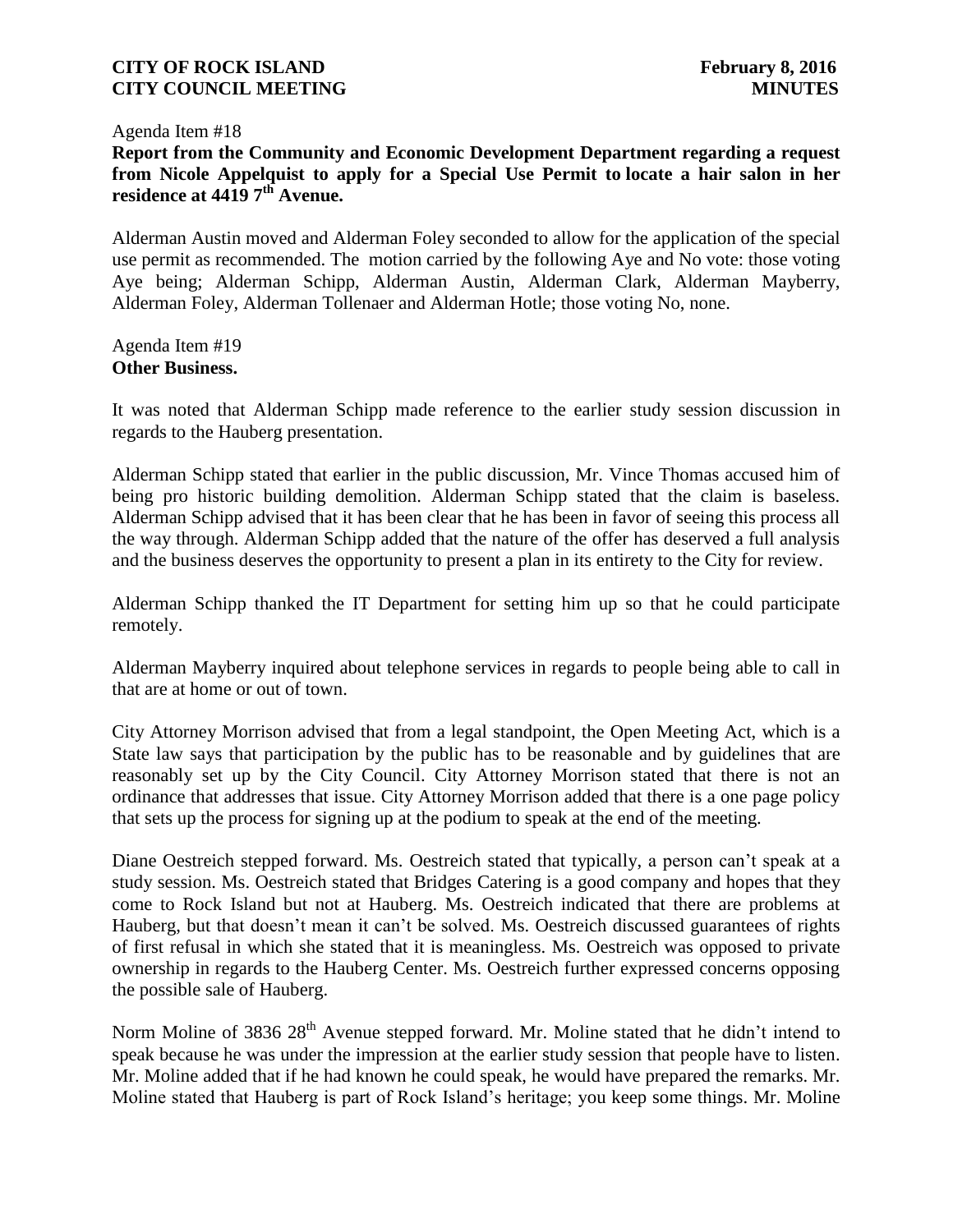#### Agenda Item #18

**Report from the Community and Economic Development Department regarding a request from Nicole Appelquist to apply for a Special Use Permit to locate a hair salon in her residence at 4419 7th Avenue.**

Alderman Austin moved and Alderman Foley seconded to allow for the application of the special use permit as recommended. The motion carried by the following Aye and No vote: those voting Aye being; Alderman Schipp, Alderman Austin, Alderman Clark, Alderman Mayberry, Alderman Foley, Alderman Tollenaer and Alderman Hotle; those voting No, none.

Agenda Item #19 **Other Business.**

It was noted that Alderman Schipp made reference to the earlier study session discussion in regards to the Hauberg presentation.

Alderman Schipp stated that earlier in the public discussion, Mr. Vince Thomas accused him of being pro historic building demolition. Alderman Schipp stated that the claim is baseless. Alderman Schipp advised that it has been clear that he has been in favor of seeing this process all the way through. Alderman Schipp added that the nature of the offer has deserved a full analysis and the business deserves the opportunity to present a plan in its entirety to the City for review.

Alderman Schipp thanked the IT Department for setting him up so that he could participate remotely.

Alderman Mayberry inquired about telephone services in regards to people being able to call in that are at home or out of town.

City Attorney Morrison advised that from a legal standpoint, the Open Meeting Act, which is a State law says that participation by the public has to be reasonable and by guidelines that are reasonably set up by the City Council. City Attorney Morrison stated that there is not an ordinance that addresses that issue. City Attorney Morrison added that there is a one page policy that sets up the process for signing up at the podium to speak at the end of the meeting.

Diane Oestreich stepped forward. Ms. Oestreich stated that typically, a person can't speak at a study session. Ms. Oestreich stated that Bridges Catering is a good company and hopes that they come to Rock Island but not at Hauberg. Ms. Oestreich indicated that there are problems at Hauberg, but that doesn't mean it can't be solved. Ms. Oestreich discussed guarantees of rights of first refusal in which she stated that it is meaningless. Ms. Oestreich was opposed to private ownership in regards to the Hauberg Center. Ms. Oestreich further expressed concerns opposing the possible sale of Hauberg.

Norm Moline of 3836 28<sup>th</sup> Avenue stepped forward. Mr. Moline stated that he didn't intend to speak because he was under the impression at the earlier study session that people have to listen. Mr. Moline added that if he had known he could speak, he would have prepared the remarks. Mr. Moline stated that Hauberg is part of Rock Island's heritage; you keep some things. Mr. Moline